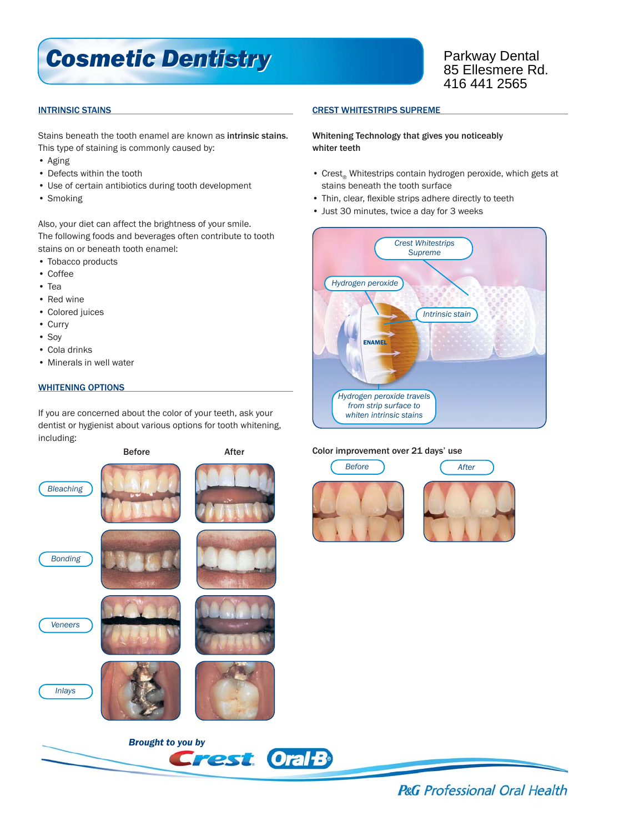# *Cosmetic Dentistry Cosmetic Dentistry*

Parkway Dental 85 Ellesmere Rd. 416 441 2565

## INTRINSIC STAINS

Stains beneath the tooth enamel are known as intrinsic stains. This type of staining is commonly caused by:

- Aging
- Defects within the tooth
- Use of certain antibiotics during tooth development
- Smoking

Also, your diet can affect the brightness of your smile. The following foods and beverages often contribute to tooth stains on or beneath tooth enamel:

- Tobacco products
- Coffee
- Tea
- Red wine
- Colored juices
- Curry
- Soy
- Cola drinks
- Minerals in well water

## WHITENING OPTIONS

If you are concerned about the color of your teeth, ask your dentist or hygienist about various options for tooth whitening, including:



## CREST WHITESTRIPS SUPREME

Whitening Technology that gives you noticeably whiter teeth

- Crest Whitestrips contain hydrogen peroxide, which gets at stains beneath the tooth surface
- Thin, clear, flexible strips adhere directly to teeth
- Just 30 minutes, twice a day for 3 weeks



## Color improvement over 21 days' use





**P&G** Professional Oral Health